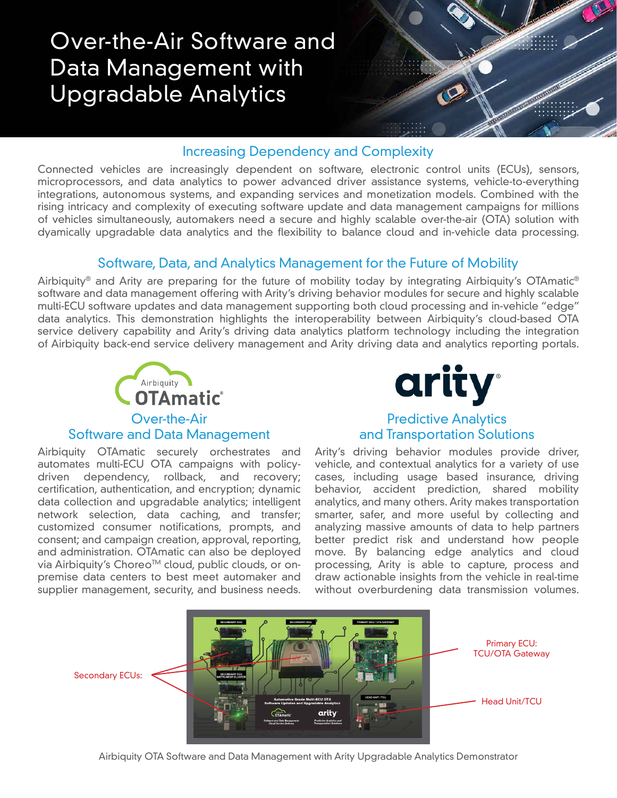# Over-the-Air Software and Data Management with Upgradable Analytics



## Increasing Dependency and Complexity

Connected vehicles are increasingly dependent on software, electronic control units (ECUs), sensors, microprocessors, and data analytics to power advanced driver assistance systems, vehicle-to-everything integrations, autonomous systems, and expanding services and monetization models. Combined with the rising intricacy and complexity of executing software update and data management campaigns for millions of vehicles simultaneously, automakers need a secure and highly scalable over-the-air (OTA) solution with dyamically upgradable data analytics and the flexibility to balance cloud and in-vehicle data processing.

## Software, Data, and Analytics Management for the Future of Mobility

Airbiquity® and Arity are preparing for the future of mobility today by integrating Airbiquity's OTAmatic® software and data management offering with Arity's driving behavior modules for secure and highly scalable multi-ECU software updates and data management supporting both cloud processing and in-vehicle "edge" data analytics. This demonstration highlights the interoperability between Airbiquity's cloud-based OTA service delivery capability and Arity's driving data analytics platform technology including the integration of Airbiquity back-end service delivery management and Arity driving data and analytics reporting portals.



#### Software and Data Management

Airbiquity OTAmatic securely orchestrates and automates multi-ECU OTA campaigns with policydriven dependency, rollback, and recovery; certification, authentication, and encryption; dynamic data collection and upgradable analytics; intelligent network selection, data caching, and transfer; customized consumer notifications, prompts, and consent; and campaign creation, approval, reporting, and administration. OTAmatic can also be deployed via Airbiquity's Choreo<sup>™</sup> cloud, public clouds, or onpremise data centers to best meet automaker and supplier management, security, and business needs.



### Predictive Analytics and Transportation Solutions

Arity's driving behavior modules provide driver, vehicle, and contextual analytics for a variety of use cases, including usage based insurance, driving behavior, accident prediction, shared mobility analytics, and many others. Arity makes transportation smarter, safer, and more useful by collecting and analyzing massive amounts of data to help partners better predict risk and understand how people move. By balancing edge analytics and cloud processing, Arity is able to capture, process and draw actionable insights from the vehicle in real-time without overburdening data transmission volumes.



Airbiquity OTA Software and Data Management with Arity Upgradable Analytics Demonstrator